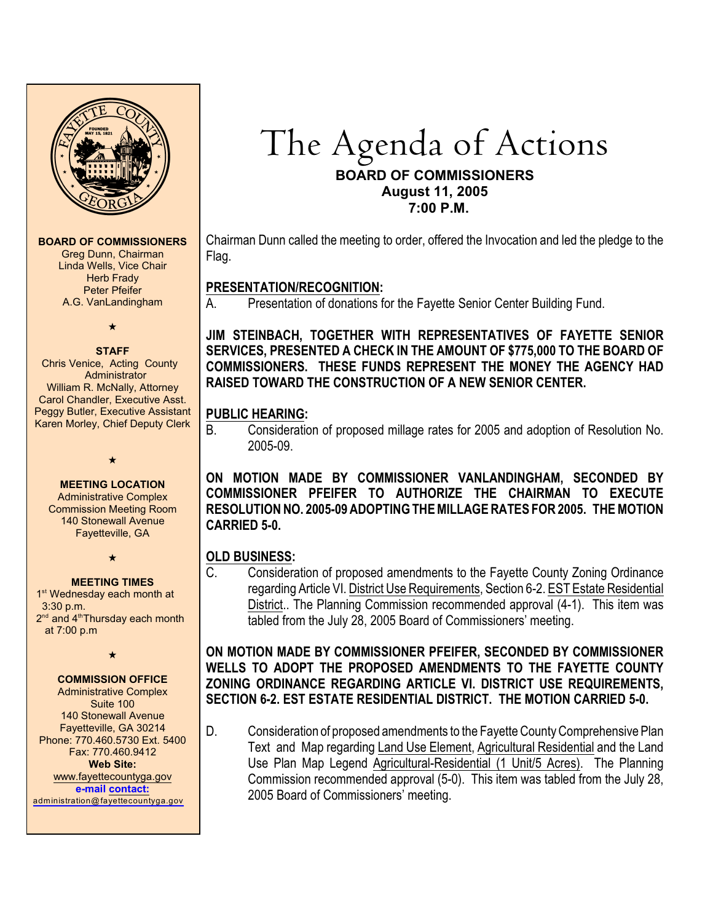

#### **BOARD OF COMMISSIONERS**

Greg Dunn, Chairman Linda Wells, Vice Chair Herb Frady Peter Pfeifer A.G. VanLandingham

 $\bm{\cdot}$ 

#### **STAFF**

 Chris Venice, Acting County Administrator William R. McNally, Attorney Carol Chandler, Executive Asst. Peggy Butler, Executive Assistant Karen Morley, Chief Deputy Clerk

 $\bigstar$ 

#### **MEETING LOCATION**

Administrative Complex Commission Meeting Room 140 Stonewall Avenue Fayetteville, GA

 $\star$ 

#### **MEETING TIMES**

1<sup>st</sup> Wednesday each month at 3:30 p.m.  $2<sup>nd</sup>$  and  $4<sup>th</sup>$ Thursday each month at 7:00 p.m

 $\star$ 

#### **COMMISSION OFFICE**

Administrative Complex Suite 100 140 Stonewall Avenue Fayetteville, GA 30214 Phone: 770.460.5730 Ext. 5400 Fax: 770.460.9412 **Web Site:** [www.fayettecountyga.gov](http://www.admin.co.fayette.ga.us) **e-mail [contact:](mailto:administration@fayettecountyga.gov)** [administration@fayettecountyga.gov](mailto:administration@fayettecountyga.gov)

# The Agenda of Actions **BOARD OF COMMISSIONERS August 11, 2005 7:00 P.M.**

Chairman Dunn called the meeting to order, offered the Invocation and led the pledge to the Flag.

# **PRESENTATION/RECOGNITION:**

Presentation of donations for the Fayette Senior Center Building Fund.

**JIM STEINBACH, TOGETHER WITH REPRESENTATIVES OF FAYETTE SENIOR SERVICES, PRESENTED A CHECK IN THE AMOUNT OF \$775,000 TO THE BOARD OF COMMISSIONERS. THESE FUNDS REPRESENT THE MONEY THE AGENCY HAD RAISED TOWARD THE CONSTRUCTION OF A NEW SENIOR CENTER.** 

## **PUBLIC HEARING:**

B. Consideration of proposed millage rates for 2005 and adoption of Resolution No. 2005-09.

**ON MOTION MADE BY COMMISSIONER VANLANDINGHAM, SECONDED BY COMMISSIONER PFEIFER TO AUTHORIZE THE CHAIRMAN TO EXECUTE RESOLUTION NO. 2005-09 ADOPTING THE MILLAGE RATES FOR 2005. THE MOTION CARRIED 5-0.**

# **OLD BUSINESS:**

C. Consideration of proposed amendments to the Fayette County Zoning Ordinance regarding Article VI. District Use Requirements, Section 6-2. EST Estate Residential District.. The Planning Commission recommended approval (4-1). This item was tabled from the July 28, 2005 Board of Commissioners' meeting.

**ON MOTION MADE BY COMMISSIONER PFEIFER, SECONDED BY COMMISSIONER WELLS TO ADOPT THE PROPOSED AMENDMENTS TO THE FAYETTE COUNTY ZONING ORDINANCE REGARDING ARTICLE VI. DISTRICT USE REQUIREMENTS, SECTION 6-2. EST ESTATE RESIDENTIAL DISTRICT. THE MOTION CARRIED 5-0.**

D. Consideration of proposed amendments to the Fayette County Comprehensive Plan Text and Map regarding Land Use Element, Agricultural Residential and the Land Use Plan Map Legend Agricultural-Residential (1 Unit/5 Acres). The Planning Commission recommended approval (5-0). This item was tabled from the July 28, 2005 Board of Commissioners' meeting.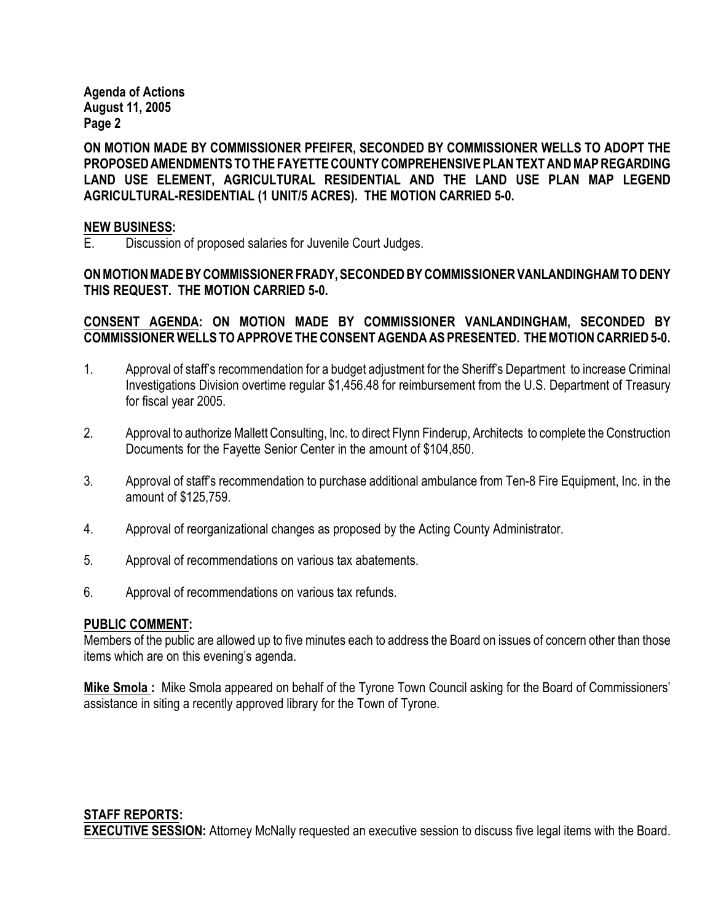**Agenda of Actions August 11, 2005 Page 2**

**ON MOTION MADE BY COMMISSIONER PFEIFER, SECONDED BY COMMISSIONER WELLS TO ADOPT THE PROPOSED AMENDMENTS TO THE FAYETTE COUNTY COMPREHENSIVE PLAN TEXT AND MAP REGARDING LAND USE ELEMENT, AGRICULTURAL RESIDENTIAL AND THE LAND USE PLAN MAP LEGEND AGRICULTURAL-RESIDENTIAL (1 UNIT/5 ACRES). THE MOTION CARRIED 5-0.** 

#### **NEW BUSINESS:**

E. Discussion of proposed salaries for Juvenile Court Judges.

**ON MOTION MADE BY COMMISSIONER FRADY, SECONDED BY COMMISSIONER VANLANDINGHAM TO DENY THIS REQUEST. THE MOTION CARRIED 5-0.**

#### **CONSENT AGENDA: ON MOTION MADE BY COMMISSIONER VANLANDINGHAM, SECONDED BY COMMISSIONER WELLS TO APPROVE THE CONSENT AGENDA AS PRESENTED. THE MOTION CARRIED 5-0.**

- 1. Approval of staff's recommendation for a budget adjustment for the Sheriff's Department to increase Criminal Investigations Division overtime regular \$1,456.48 for reimbursement from the U.S. Department of Treasury for fiscal year 2005.
- 2. Approval to authorize Mallett Consulting, Inc. to direct Flynn Finderup, Architects to complete the Construction Documents for the Fayette Senior Center in the amount of \$104,850.
- 3. Approval of staff's recommendation to purchase additional ambulance from Ten-8 Fire Equipment, Inc. in the amount of \$125,759.
- 4. Approval of reorganizational changes as proposed by the Acting County Administrator.
- 5. Approval of recommendations on various tax abatements.
- 6. Approval of recommendations on various tax refunds.

## **PUBLIC COMMENT:**

Members of the public are allowed up to five minutes each to address the Board on issues of concern other than those items which are on this evening's agenda.

**Mike Smola :** Mike Smola appeared on behalf of the Tyrone Town Council asking for the Board of Commissioners' assistance in siting a recently approved library for the Town of Tyrone.